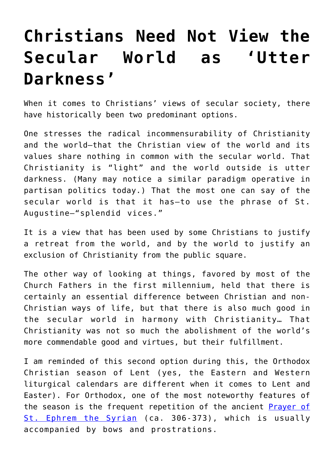## **[Christians Need Not View the](https://intellectualtakeout.org/2016/04/christians-need-not-view-the-secular-world-as-utter-darkness/) [Secular World as 'Utter](https://intellectualtakeout.org/2016/04/christians-need-not-view-the-secular-world-as-utter-darkness/) [Darkness'](https://intellectualtakeout.org/2016/04/christians-need-not-view-the-secular-world-as-utter-darkness/)**

When it comes to Christians' views of secular society, there have historically been two predominant options.

One stresses the radical incommensurability of Christianity and the world—that the Christian view of the world and its values share nothing in common with the secular world. That Christianity is "light" and the world outside is utter darkness. (Many may notice a similar paradigm operative in partisan politics today.) That the most one can say of the secular world is that it has—to use the phrase of St. Augustine—"splendid vices."

It is a view that has been used by some Christians to justify a retreat from the world, and by the world to justify an exclusion of Christianity from the public square.

The other way of looking at things, favored by most of the Church Fathers in the first millennium, held that there is certainly an essential difference between Christian and non-Christian ways of life, but that there is also much good in the secular world in harmony with Christianity… That Christianity was not so much the abolishment of the world's more commendable good and virtues, but their fulfillment.

I am reminded of this second option during this, the Orthodox Christian season of Lent (yes, the Eastern and Western liturgical calendars are different when it comes to Lent and Easter). For Orthodox, one of the most noteworthy features of the season is the frequent repetition of the ancient **[Prayer of](http://orthodoxwiki.org/Prayer_of_Saint_Ephrem)** [St. Ephrem the Syrian](http://orthodoxwiki.org/Prayer_of_Saint_Ephrem) (ca. 306-373), which is usually accompanied by bows and prostrations.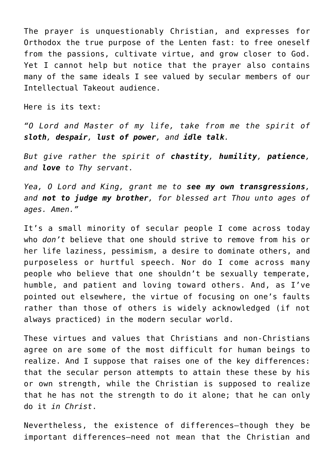The prayer is unquestionably Christian, and expresses for Orthodox the true purpose of the Lenten fast: to free oneself from the passions, cultivate virtue, and grow closer to God. Yet I cannot help but notice that the prayer also contains many of the same ideals I see valued by secular members of our Intellectual Takeout audience.

Here is its text:

*"O Lord and Master of my life, take from me the spirit of sloth, despair, lust of power, and idle talk.*

*But give rather the spirit of chastity, humility, patience, and love to Thy servant.*

*Yea, O Lord and King, grant me to see my own transgressions, and not to judge my brother, for blessed art Thou unto ages of ages. Amen."*

It's a small minority of secular people I come across today who *don't* believe that one should strive to remove from his or her life laziness, pessimism, a desire to dominate others, and purposeless or hurtful speech. Nor do I come across many people who believe that one shouldn't be sexually temperate, humble, and patient and loving toward others. And, as I've pointed out elsewhere, the virtue of focusing on one's faults rather than those of others is widely acknowledged (if not always practiced) in the modern secular world.

These virtues and values that Christians and non-Christians agree on are some of the most difficult for human beings to realize. And I suppose that raises one of the key differences: that the secular person attempts to attain these these by his or own strength, while the Christian is supposed to realize that he has not the strength to do it alone; that he can only do it *in Christ*.

Nevertheless, the existence of differences—though they be important differences—need not mean that the Christian and